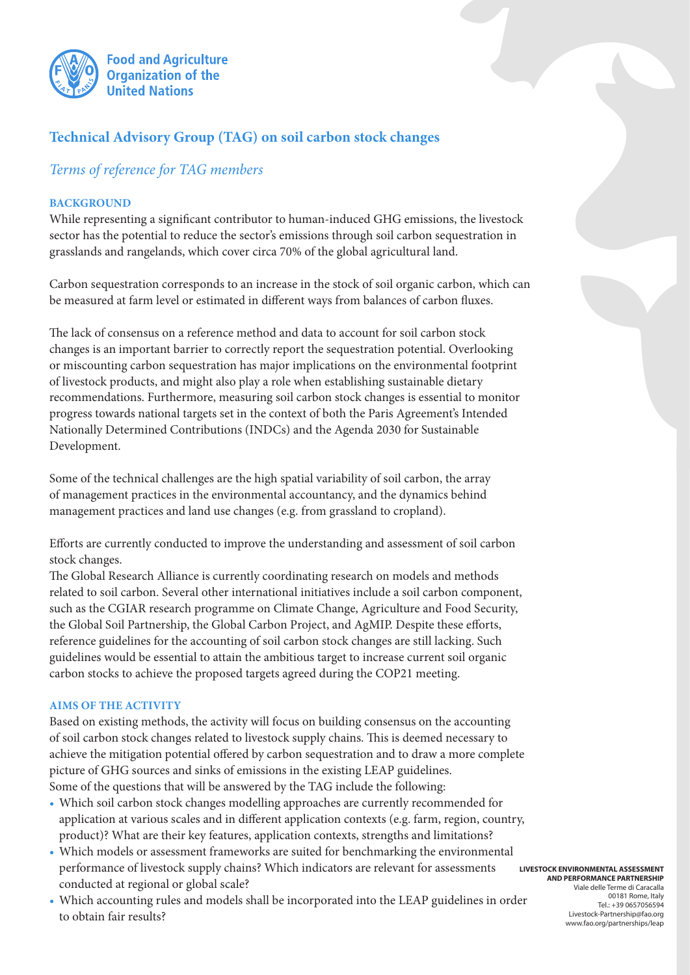

# **Technical Advisory Group (TAG) on soil carbon stock changes**

## *Terms of reference for TAG members*

## **BACKGROUND**

While representing a significant contributor to human-induced GHG emissions, the livestock sector has the potential to reduce the sector's emissions through soil carbon sequestration in grasslands and rangelands, which cover circa 70% of the global agricultural land.

Carbon sequestration corresponds to an increase in the stock of soil organic carbon, which can be measured at farm level or estimated in different ways from balances of carbon fluxes.

The lack of consensus on a reference method and data to account for soil carbon stock changes is an important barrier to correctly report the sequestration potential. Overlooking or miscounting carbon sequestration has major implications on the environmental footprint of livestock products, and might also play a role when establishing sustainable dietary recommendations. Furthermore, measuring soil carbon stock changes is essential to monitor progress towards national targets set in the context of both the Paris Agreement's Intended Nationally Determined Contributions (INDCs) and the Agenda 2030 for Sustainable Development.

Some of the technical challenges are the high spatial variability of soil carbon, the array of management practices in the environmental accountancy, and the dynamics behind management practices and land use changes (e.g. from grassland to cropland).

Efforts are currently conducted to improve the understanding and assessment of soil carbon stock changes.

The Global Research Alliance is currently coordinating research on models and methods related to soil carbon. Several other international initiatives include a soil carbon component, such as the CGIAR research programme on Climate Change, Agriculture and Food Security, the Global Soil Partnership, the Global Carbon Project, and AgMIP. Despite these efforts, reference guidelines for the accounting of soil carbon stock changes are still lacking. Such guidelines would be essential to attain the ambitious target to increase current soil organic carbon stocks to achieve the proposed targets agreed during the COP21 meeting.

#### **AIMS OF THE ACTIVITY**

Based on existing methods, the activity will focus on building consensus on the accounting of soil carbon stock changes related to livestock supply chains. This is deemed necessary to achieve the mitigation potential offered by carbon sequestration and to draw a more complete picture of GHG sources and sinks of emissions in the existing LEAP guidelines. Some of the questions that will be answered by the TAG include the following:

- • Which soil carbon stock changes modelling approaches are currently recommended for application at various scales and in different application contexts (e.g. farm, region, country, product)? What are their key features, application contexts, strengths and limitations?
- • Which models or assessment frameworks are suited for benchmarking the environmental performance of livestock supply chains? Which indicators are relevant for assessments conducted at regional or global scale?
- • Which accounting rules and models shall be incorporated into the LEAP guidelines in order to obtain fair results?

**LIVESTOCK ENVIRONMENTAL ASSESSMENT AND PERFORMANCE PARTNERSHIP** Viale delle Terme di Caracalla 00181 Rome, Italy Tel.: +39 0657056594

#### Livestock-Partnership@fao.org www.fao.org/partnerships/leap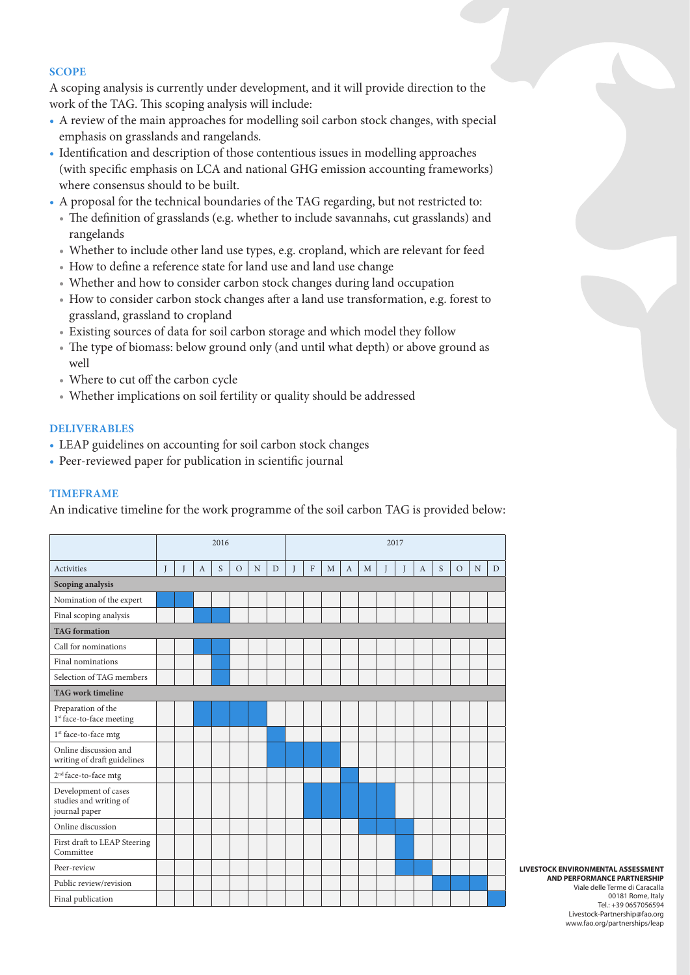#### **SCOPE**

A scoping analysis is currently under development, and it will provide direction to the work of the TAG. This scoping analysis will include:

- A review of the main approaches for modelling soil carbon stock changes, with special emphasis on grasslands and rangelands.
- Identification and description of those contentious issues in modelling approaches (with specific emphasis on LCA and national GHG emission accounting frameworks) where consensus should to be built.
- A proposal for the technical boundaries of the TAG regarding, but not restricted to:
	- The definition of grasslands (e.g. whether to include savannahs, cut grasslands) and rangelands
	- Whether to include other land use types, e.g. cropland, which are relevant for feed
	- How to define a reference state for land use and land use change
	- Whether and how to consider carbon stock changes during land occupation
	- How to consider carbon stock changes after a land use transformation, e.g. forest to grassland, grassland to cropland
	- Existing sources of data for soil carbon storage and which model they follow
	- The type of biomass: below ground only (and until what depth) or above ground as well
	- Where to cut off the carbon cycle
	- Whether implications on soil fertility or quality should be addressed

## **DELIVERABLES**

- LEAP guidelines on accounting for soil carbon stock changes
- Peer-reviewed paper for publication in scientific journal

### **TIMEFRAME**

An indicative timeline for the work programme of the soil carbon TAG is provided below:

|                                                                 | 2016 |  |   |   |          |   |   | 2017 |              |   |              |   |   |   |              |   |         |   |   |
|-----------------------------------------------------------------|------|--|---|---|----------|---|---|------|--------------|---|--------------|---|---|---|--------------|---|---------|---|---|
| <b>Activities</b>                                               | I    |  | A | S | $\Omega$ | N | D |      | $\mathbf{F}$ | M | $\mathbf{A}$ | M | T | Т | $\mathbf{A}$ | S | $\circ$ | N | D |
| Scoping analysis                                                |      |  |   |   |          |   |   |      |              |   |              |   |   |   |              |   |         |   |   |
| Nomination of the expert                                        |      |  |   |   |          |   |   |      |              |   |              |   |   |   |              |   |         |   |   |
| Final scoping analysis                                          |      |  |   |   |          |   |   |      |              |   |              |   |   |   |              |   |         |   |   |
| <b>TAG</b> formation                                            |      |  |   |   |          |   |   |      |              |   |              |   |   |   |              |   |         |   |   |
| Call for nominations                                            |      |  |   |   |          |   |   |      |              |   |              |   |   |   |              |   |         |   |   |
| Final nominations                                               |      |  |   |   |          |   |   |      |              |   |              |   |   |   |              |   |         |   |   |
| Selection of TAG members                                        |      |  |   |   |          |   |   |      |              |   |              |   |   |   |              |   |         |   |   |
| <b>TAG</b> work timeline                                        |      |  |   |   |          |   |   |      |              |   |              |   |   |   |              |   |         |   |   |
| Preparation of the<br>1st face-to-face meeting                  |      |  |   |   |          |   |   |      |              |   |              |   |   |   |              |   |         |   |   |
| 1 <sup>st</sup> face-to-face mtg                                |      |  |   |   |          |   |   |      |              |   |              |   |   |   |              |   |         |   |   |
| Online discussion and<br>writing of draft guidelines            |      |  |   |   |          |   |   |      |              |   |              |   |   |   |              |   |         |   |   |
| $2nd$ face-to-face mtg                                          |      |  |   |   |          |   |   |      |              |   |              |   |   |   |              |   |         |   |   |
| Development of cases<br>studies and writing of<br>journal paper |      |  |   |   |          |   |   |      |              |   |              |   |   |   |              |   |         |   |   |
| Online discussion                                               |      |  |   |   |          |   |   |      |              |   |              |   |   |   |              |   |         |   |   |
| First draft to LEAP Steering<br>Committee                       |      |  |   |   |          |   |   |      |              |   |              |   |   |   |              |   |         |   |   |
| Peer-review                                                     |      |  |   |   |          |   |   |      |              |   |              |   |   |   |              |   |         |   |   |
| Public review/revision                                          |      |  |   |   |          |   |   |      |              |   |              |   |   |   |              |   |         |   |   |
| Final publication                                               |      |  |   |   |          |   |   |      |              |   |              |   |   |   |              |   |         |   |   |

**LIVESTOCK ENVIRONMENTAL ASSESSMENT AND PERFORMANCE PARTNERSHIP** Viale delle Terme di Caracalla 00181 Rome, Italy Tel.: +39 0657056594 Livestock-Partnership@fao.org www.fao.org/partnerships/leap